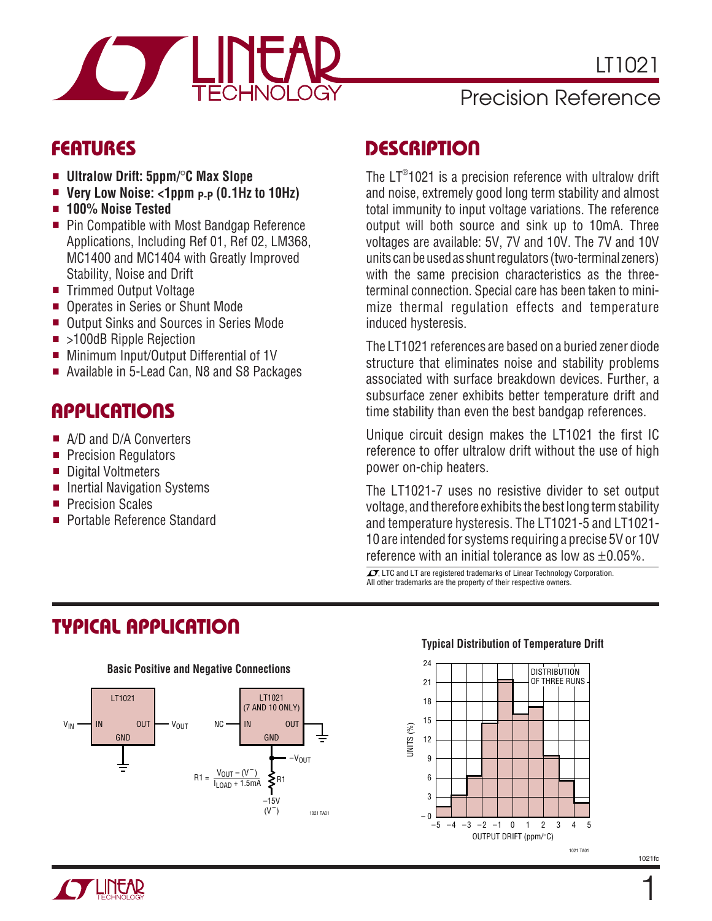

### Precision Reference

### **FEATURES**

- **Ultralow Drift: 5ppm/**°**C Max Slope**
- Very Low Noise: <1ppm <sub>P-P</sub> (0.1Hz to 10Hz)
- **100% Noise Tested**
- Pin Compatible with Most Bandgap Reference Applications, Including Ref 01, Ref 02, LM368, MC1400 and MC1404 with Greatly Improved Stability, Noise and Drift
- Trimmed Output Voltage
- Operates in Series or Shunt Mode
- Output Sinks and Sources in Series Mode
- >100dB Ripple Rejection
- Minimum Input/Output Differential of 1V
- Available in 5-Lead Can, N8 and S8 Packages

## **APPLICATIONS**

- A/D and D/A Converters
- Precision Regulators
- Digital Voltmeters
- Inertial Navigation Systems
- Precision Scales
- Portable Reference Standard

### **DESCRIPTION**

The LT®1021 is a precision reference with ultralow drift and noise, extremely good long term stability and almost total immunity to input voltage variations. The reference output will both source and sink up to 10mA. Three voltages are available: 5V, 7V and 10V. The 7V and 10V units can be used as shunt regulators (two-terminal zeners) with the same precision characteristics as the threeterminal connection. Special care has been taken to minimize thermal regulation effects and temperature induced hysteresis.

The LT1021 references are based on a buried zener diode structure that eliminates noise and stability problems associated with surface breakdown devices. Further, a subsurface zener exhibits better temperature drift and time stability than even the best bandgap references.

Unique circuit design makes the LT1021 the first IC reference to offer ultralow drift without the use of high power on-chip heaters.

The LT1021-7 uses no resistive divider to set output voltage, and therefore exhibits the best long term stability and temperature hysteresis. The LT1021-5 and LT1021- 10 are intended for systems requiring a precise 5V or 10V reference with an initial tolerance as low as  $\pm 0.05\%$ .

 $\sqrt{J}$ , LTC and LT are registered trademarks of Linear Technology Corporation. All other trademarks are the property of their respective owners.

# **TYPICAL APPLICATIO U**



#### **Typical Distribution of Temperature Drift**



1021fc

1

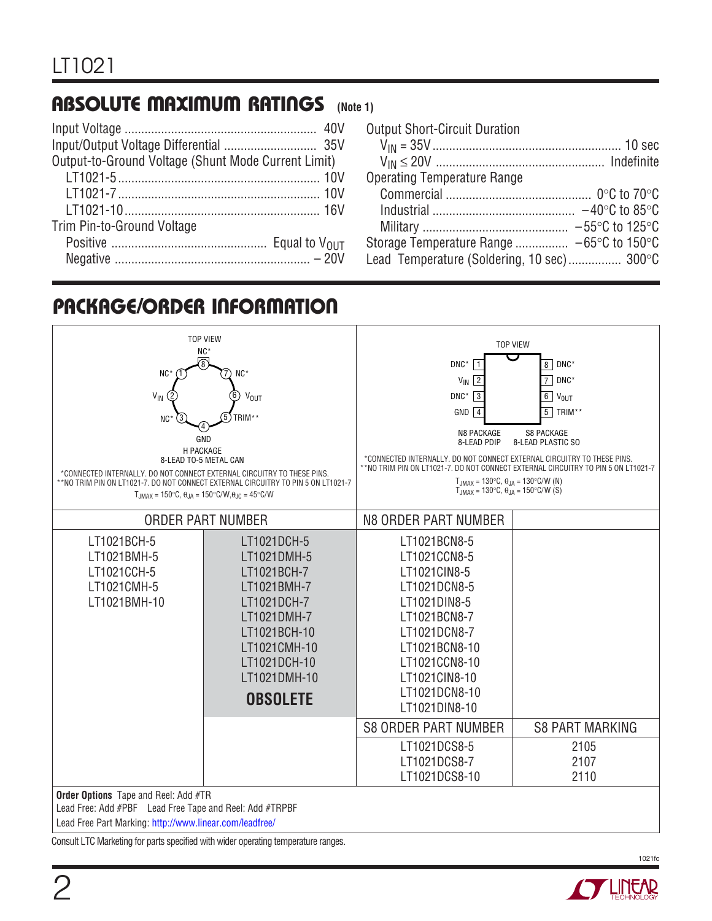## **ABSOLUTE MAXIMUM RATINGS** (Note 1)

| Output-to-Ground Voltage (Shunt Mode Current Limit) |  |
|-----------------------------------------------------|--|
|                                                     |  |
|                                                     |  |
|                                                     |  |
| Trim Pin-to-Ground Voltage                          |  |
|                                                     |  |
|                                                     |  |

| <b>Output Short-Circuit Duration</b>       |  |
|--------------------------------------------|--|
|                                            |  |
|                                            |  |
| <b>Operating Temperature Range</b>         |  |
|                                            |  |
|                                            |  |
|                                            |  |
| Storage Temperature Range  −65°C to 150°C  |  |
| Lead Temperature (Soldering, 10 sec) 300°C |  |

# **PACKAGE/ORDER INFORMATION**

| NC*<br>ெ                                                                                               | <b>TOP VIEW</b>                                                                   | DNC*                                                                                                                                                | <b>TOP VIEW</b><br>8 DNC*          |  |  |
|--------------------------------------------------------------------------------------------------------|-----------------------------------------------------------------------------------|-----------------------------------------------------------------------------------------------------------------------------------------------------|------------------------------------|--|--|
| $NC^*$<br>NC*                                                                                          |                                                                                   | $V_{\text{IN}}$ 2                                                                                                                                   | $\overline{7}$<br>DNC*             |  |  |
| $V_{\text{IN}}$<br>2                                                                                   | 6<br>V <sub>OUT</sub>                                                             | $\textsf{DNC}^{\star}$<br>$\sqrt{3}$                                                                                                                | 6 <sup>1</sup><br>V <sub>OUT</sub> |  |  |
|                                                                                                        |                                                                                   | GND<br>$\sqrt{4}$                                                                                                                                   | 5<br>TRIM**                        |  |  |
| NC <sub>3</sub>                                                                                        | TRIM**                                                                            |                                                                                                                                                     |                                    |  |  |
| GND<br><b>H PACKAGE</b>                                                                                |                                                                                   | <b>N8 PACKAGE</b><br><b>S8 PACKAGE</b><br>8-LEAD PDIP<br>8-LEAD PLASTIC SO                                                                          |                                    |  |  |
| 8-LEAD TO-5 METAL CAN                                                                                  |                                                                                   | *CONNECTED INTERNALLY. DO NOT CONNECT EXTERNAL CIRCUITRY TO THESE PINS.                                                                             |                                    |  |  |
| *CONNECTED INTERNALLY. DO NOT CONNECT EXTERNAL CIRCUITRY TO THESE PINS.                                | **NO TRIM PIN ON LT1021-7. DO NOT CONNECT EXTERNAL CIRCUITRY TO PIN 5 ON LT1021-7 | **NO TRIM PIN ON LT1021-7. DO NOT CONNECT EXTERNAL CIRCUITRY TO PIN 5 ON LT1021-7<br>$T_{JMAX} = 130^{\circ}C$ , $\theta_{JA} = 130^{\circ}C/W$ (N) |                                    |  |  |
| $T_{JMAX} = 150^{\circ}C$ , $\theta_{JA} = 150^{\circ}C/W$ , $\theta_{JC} = 45^{\circ}C/W$             |                                                                                   | $T_{.IMAX} = 130^{\circ}C$ , $\theta_{.IA} = 150^{\circ}C/W$ (S)                                                                                    |                                    |  |  |
|                                                                                                        |                                                                                   |                                                                                                                                                     |                                    |  |  |
|                                                                                                        | <b>ORDER PART NUMBER</b>                                                          | N8 ORDER PART NUMBER                                                                                                                                |                                    |  |  |
| LT1021BCH-5                                                                                            | LT1021DCH-5                                                                       | LT1021BCN8-5                                                                                                                                        |                                    |  |  |
| LT1021BMH-5                                                                                            | LT1021DMH-5                                                                       | LT1021CCN8-5                                                                                                                                        |                                    |  |  |
| LT1021CCH-5                                                                                            | LT1021BCH-7                                                                       | LT1021CIN8-5                                                                                                                                        |                                    |  |  |
| LT1021CMH-5                                                                                            | LT1021BMH-7                                                                       | LT1021DCN8-5                                                                                                                                        |                                    |  |  |
| LT1021BMH-10                                                                                           | LT1021DCH-7                                                                       | LT1021DIN8-5                                                                                                                                        |                                    |  |  |
|                                                                                                        | LT1021DMH-7                                                                       | LT1021BCN8-7                                                                                                                                        |                                    |  |  |
|                                                                                                        | LT1021BCH-10                                                                      | LT1021DCN8-7                                                                                                                                        |                                    |  |  |
|                                                                                                        | LT1021CMH-10                                                                      | LT1021BCN8-10                                                                                                                                       |                                    |  |  |
|                                                                                                        | LT1021DCH-10                                                                      | LT1021CCN8-10                                                                                                                                       |                                    |  |  |
|                                                                                                        | LT1021DMH-10                                                                      | LT1021CIN8-10                                                                                                                                       |                                    |  |  |
|                                                                                                        | <b>OBSOLETE</b>                                                                   | LT1021DCN8-10                                                                                                                                       |                                    |  |  |
|                                                                                                        |                                                                                   | LT1021DIN8-10                                                                                                                                       |                                    |  |  |
|                                                                                                        |                                                                                   | <b>S8 ORDER PART NUMBER</b>                                                                                                                         | <b>S8 PART MARKING</b>             |  |  |
|                                                                                                        |                                                                                   | LT1021DCS8-5                                                                                                                                        | 2105                               |  |  |
|                                                                                                        |                                                                                   | LT1021DCS8-7                                                                                                                                        | 2107                               |  |  |
|                                                                                                        |                                                                                   | LT1021DCS8-10                                                                                                                                       | 2110                               |  |  |
| <b>Order Options</b> Tape and Reel: Add #TR<br>Lead Free: Add #PBF Lead Free Tape and Reel: Add #TRPBF |                                                                                   |                                                                                                                                                     |                                    |  |  |

Lead Free Part Marking:<http://www.linear.com/leadfree/>

Consult LTC Marketing for parts specified with wider operating temperature ranges.

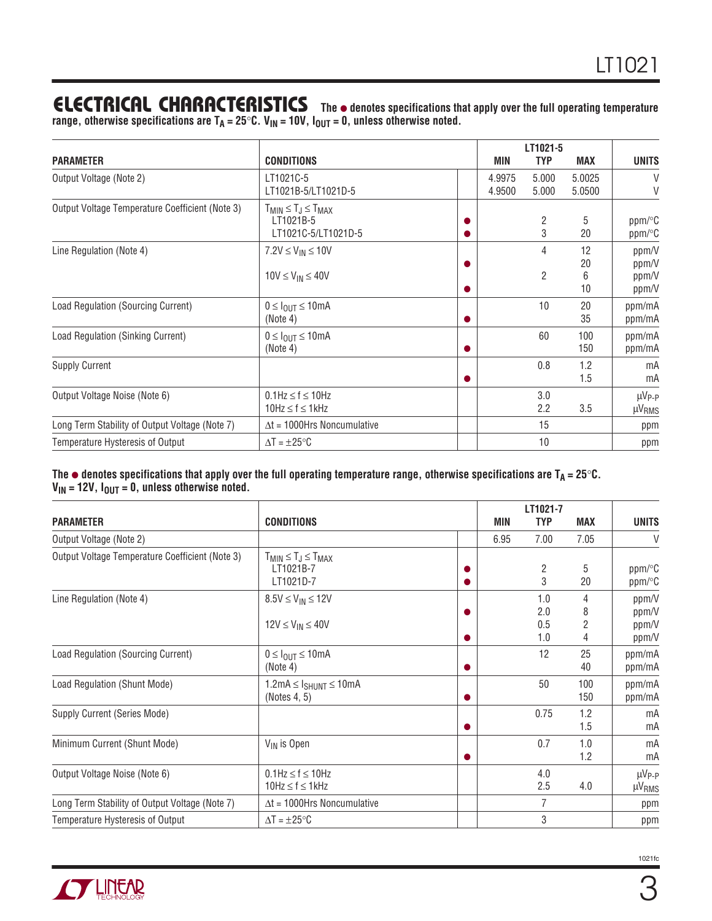## **ELECTRICAL CHARACTERISTICS** The  $\bullet$  denotes specifications that apply over the full operating temperature

range, otherwise specifications are T<sub>A</sub> = 25°C. V<sub>IN</sub> = 10V, I<sub>OUT</sub> = 0, unless otherwise noted.

|                                                 |                                                                     |                  | LT1021-5            |                     |                                    |
|-------------------------------------------------|---------------------------------------------------------------------|------------------|---------------------|---------------------|------------------------------------|
| <b>PARAMETER</b>                                | <b>CONDITIONS</b>                                                   | MIN              | <b>TYP</b>          | <b>MAX</b>          | <b>UNITS</b>                       |
| Output Voltage (Note 2)                         | LT1021C-5<br>LT1021B-5/LT1021D-5                                    | 4.9975<br>4.9500 | 5.000<br>5.000      | 5.0025<br>5.0500    | V<br>V                             |
| Output Voltage Temperature Coefficient (Note 3) | $T_{MIN} \leq T_J \leq T_{MAX}$<br>LT1021B-5<br>LT1021C-5/LT1021D-5 |                  | $\overline{c}$<br>3 | 5<br>20             | ppm/°C<br>$ppm$ <sup>o</sup> C     |
| Line Regulation (Note 4)                        | $7.2V \leq V_{IN} \leq 10V$<br>$10V \leq V_{IN} \leq 40V$           |                  | 4<br>$\overline{2}$ | 12<br>20<br>6<br>10 | ppm/V<br>ppm/V<br>ppm/V<br>ppm/V   |
| Load Regulation (Sourcing Current)              | $0 \leq I_{OIII} \leq 10$ mA<br>(Note 4)                            |                  | 10                  | 20<br>35            | ppm/mA<br>ppm/mA                   |
| Load Regulation (Sinking Current)               | $0 \leq I_{\text{OUT}} \leq 10 \text{mA}$<br>(Note 4)               |                  | 60                  | 100<br>150          | ppm/mA<br>ppm/mA                   |
| <b>Supply Current</b>                           |                                                                     |                  | 0.8                 | 1.2<br>1.5          | mA<br>mA                           |
| Output Voltage Noise (Note 6)                   | $0.1$ Hz $\leq$ f $\leq$ 10Hz<br>$10Hz \le f \le 1kHz$              |                  | 3.0<br>2.2          | 3.5                 | $\mu V_{P-P}$<br>µV <sub>RMS</sub> |
| Long Term Stability of Output Voltage (Note 7)  | $\Delta t = 1000$ Hrs Noncumulative                                 |                  | 15                  |                     | ppm                                |
| Temperature Hysteresis of Output                | $\Delta T = \pm 25^{\circ}C$                                        |                  | 10                  |                     | ppm                                |

**The** ● **denotes specifications that apply over the full operating temperature range, otherwise specifications are TA = 25**°**C. VIN = 12V, IOUT = 0, unless otherwise noted.**

|                                                 |                                                                  | LT1021-7 |                          |            |                                    |  |
|-------------------------------------------------|------------------------------------------------------------------|----------|--------------------------|------------|------------------------------------|--|
| <b>PARAMETER</b>                                | <b>CONDITIONS</b>                                                | MIN      | <b>TYP</b>               | <b>MAX</b> | <b>UNITS</b>                       |  |
| Output Voltage (Note 2)                         |                                                                  | 6.95     | 7.00                     | 7.05       | V                                  |  |
| Output Voltage Temperature Coefficient (Note 3) | $T_{MIN} \leq T_J \leq T_{MAX}$<br>LT1021B-7<br>LT1021D-7        |          | 2<br>3                   | 5<br>20    | ppm/°C<br>ppm/°C                   |  |
| Line Regulation (Note 4)                        | $8.5V \le V_{IN} \le 12V$<br>$12V \leq V_{IN} \leq 40V$          |          | 1.0<br>2.0<br>0.5<br>1.0 | 4<br>8     | ppm/V<br>ppm/V<br>ppm/V<br>ppm/V   |  |
| Load Regulation (Sourcing Current)              | $0 \leq I_{\text{OUT}} \leq 10 \text{mA}$<br>(Note 4)            |          | 12                       | 25<br>40   | ppm/mA<br>ppm/mA                   |  |
| Load Regulation (Shunt Mode)                    | $1.2 \text{mA} \leq I_{SHUNT} \leq 10 \text{mA}$<br>(Notes 4, 5) |          | 50                       | 100<br>150 | ppm/mA<br>ppm/mA                   |  |
| Supply Current (Series Mode)                    |                                                                  |          | 0.75                     | 1.2<br>1.5 | mA<br>mA                           |  |
| Minimum Current (Shunt Mode)                    | V <sub>IN</sub> is Open                                          |          | 0.7                      | 1.0<br>1.2 | mA<br>mA                           |  |
| Output Voltage Noise (Note 6)                   | $0.1$ Hz $\leq f \leq 10$ Hz<br>$10Hz \le f \le 1kHz$            |          | 4.0<br>2.5               | 4.0        | $\mu V_{P-P}$<br>µV <sub>RMS</sub> |  |
| Long Term Stability of Output Voltage (Note 7)  | $\Delta t = 1000$ Hrs Noncumulative                              |          | $\overline{7}$           |            | ppm                                |  |
| Temperature Hysteresis of Output                | $\Delta T = \pm 25^{\circ}C$                                     |          | 3                        |            | ppm                                |  |

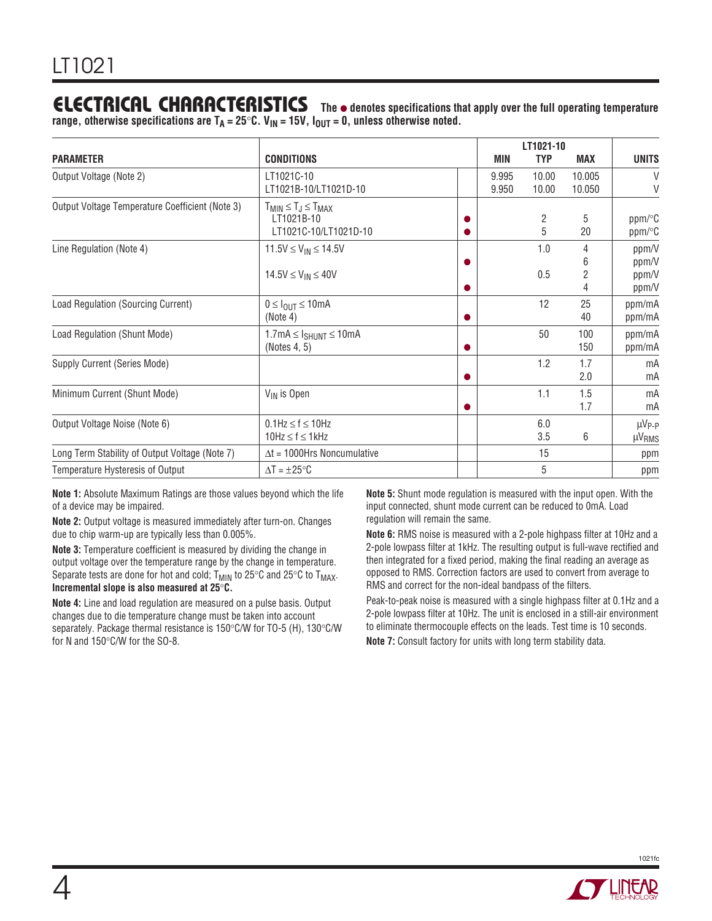## **ELECTRICAL CHARACTERISTICS** The  $\bullet$  denotes specifications that apply over the full operating temperature

range, otherwise specifications are T<sub>A</sub> = 25°C. V<sub>IN</sub> = 15V, I<sub>OUT</sub> = 0, unless otherwise noted.

|                                                 |                                                                         |                | LT1021-10      |                  |                                    |
|-------------------------------------------------|-------------------------------------------------------------------------|----------------|----------------|------------------|------------------------------------|
| <b>PARAMETER</b>                                | <b>CONDITIONS</b>                                                       | MIN            | <b>TYP</b>     | <b>MAX</b>       | <b>UNITS</b>                       |
| Output Voltage (Note 2)                         | LT1021C-10<br>LT1021B-10/LT1021D-10                                     | 9.995<br>9.950 | 10.00<br>10.00 | 10.005<br>10.050 | $\vee$<br>V                        |
| Output Voltage Temperature Coefficient (Note 3) | $T_{MIN} \leq T_J \leq T_{MAX}$<br>LT1021B-10<br>LT1021C-10/LT1021D-10  |                | 2<br>5         | 5<br>20          | ppm/°C<br>ppm/°C                   |
| Line Regulation (Note 4)                        | 11.5V $\leq$ V <sub>IN</sub> $\leq$ 14.5V<br>$14.5V \le V_{IN} \le 40V$ |                | 1.0<br>0.5     | ჩ<br>2           | ppm/V<br>ppm/V<br>ppm/V<br>ppm/V   |
| Load Regulation (Sourcing Current)              | $0 \leq I_{\text{OUT}} \leq 10 \text{mA}$<br>(Note 4)                   |                | 12             | 25<br>40         | ppm/mA<br>ppm/mA                   |
| Load Regulation (Shunt Mode)                    | $1.7mA \leq I_{SHUNT} \leq 10mA$<br>(Notes 4, 5)                        |                | 50             | 100<br>150       | ppm/mA<br>ppm/mA                   |
| Supply Current (Series Mode)                    |                                                                         |                | 1.2            | 1.7<br>2.0       | mA<br>mA                           |
| Minimum Current (Shunt Mode)                    | V <sub>IN</sub> is Open                                                 |                | 1.1            | 1.5<br>1.7       | mA<br>mA                           |
| Output Voltage Noise (Note 6)                   | $0.1$ Hz $\leq$ f $\leq$ 10Hz<br>$10Hz \le f \le 1kHz$                  |                | 6.0<br>3.5     | 6                | $\mu V_{P-P}$<br>µV <sub>RMS</sub> |
| Long Term Stability of Output Voltage (Note 7)  | $\Delta t = 1000$ Hrs Noncumulative                                     |                | 15             |                  | ppm                                |
| Temperature Hysteresis of Output                | $\Delta T = \pm 25^{\circ}C$                                            |                | 5              |                  | ppm                                |

**Note 1:** Absolute Maximum Ratings are those values beyond which the life of a device may be impaired.

**Note 2:** Output voltage is measured immediately after turn-on. Changes due to chip warm-up are typically less than 0.005%.

**Note 3:** Temperature coefficient is measured by dividing the change in output voltage over the temperature range by the change in temperature. Separate tests are done for hot and cold;  $T_{MIN}$  to 25°C and 25°C to  $T_{MAX}$ . **Incremental slope is also measured at 25**°**C.**

**Note 4:** Line and load regulation are measured on a pulse basis. Output changes due to die temperature change must be taken into account separately. Package thermal resistance is 150°C/W for TO-5 (H), 130°C/W for N and 150°C/W for the SO-8.

**Note 5:** Shunt mode regulation is measured with the input open. With the input connected, shunt mode current can be reduced to 0mA. Load regulation will remain the same.

**Note 6:** RMS noise is measured with a 2-pole highpass filter at 10Hz and a 2-pole lowpass filter at 1kHz. The resulting output is full-wave rectified and then integrated for a fixed period, making the final reading an average as opposed to RMS. Correction factors are used to convert from average to RMS and correct for the non-ideal bandpass of the filters.

Peak-to-peak noise is measured with a single highpass filter at 0.1Hz and a 2-pole lowpass filter at 10Hz. The unit is enclosed in a still-air environment to eliminate thermocouple effects on the leads. Test time is 10 seconds.

**Note 7:** Consult factory for units with long term stability data.

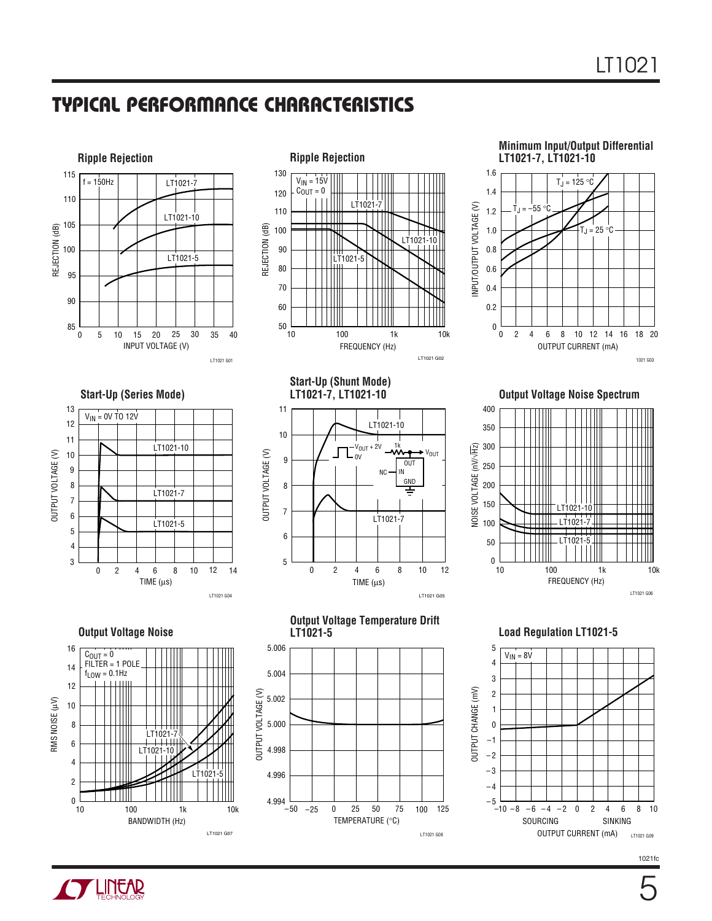



#### **Minimum Input/Output Differential LT1021-7, LT1021-10**



### **Start-Up (Series Mode)**



**Start-Up (Shunt Mode) LT1021-7, LT1021-10**



**Output Voltage Noise Spectrum**



**Output Voltage Noise** 







**Load Regulation LT1021-5**



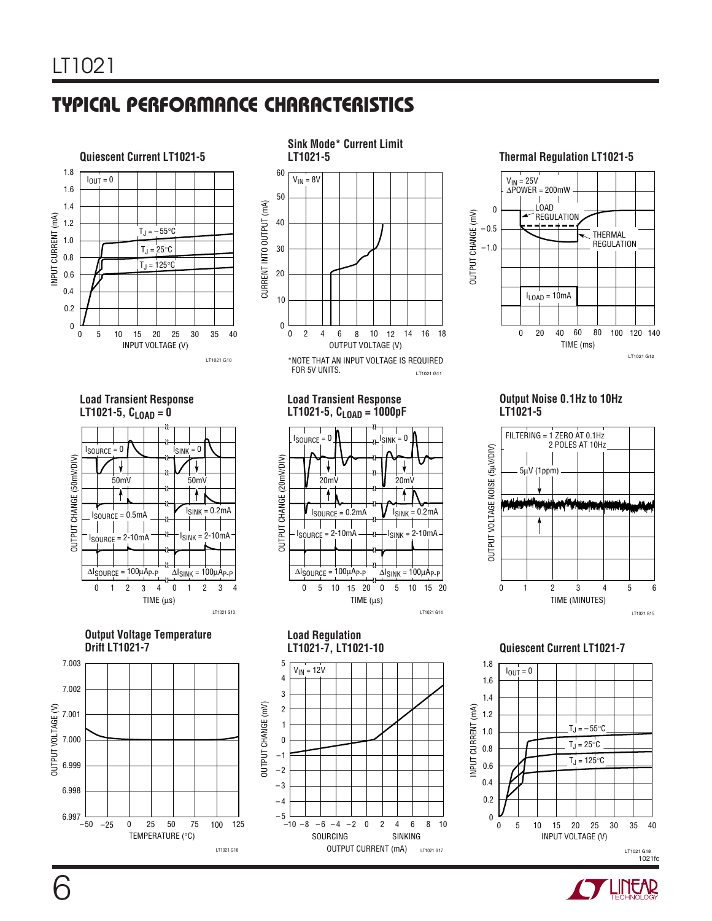

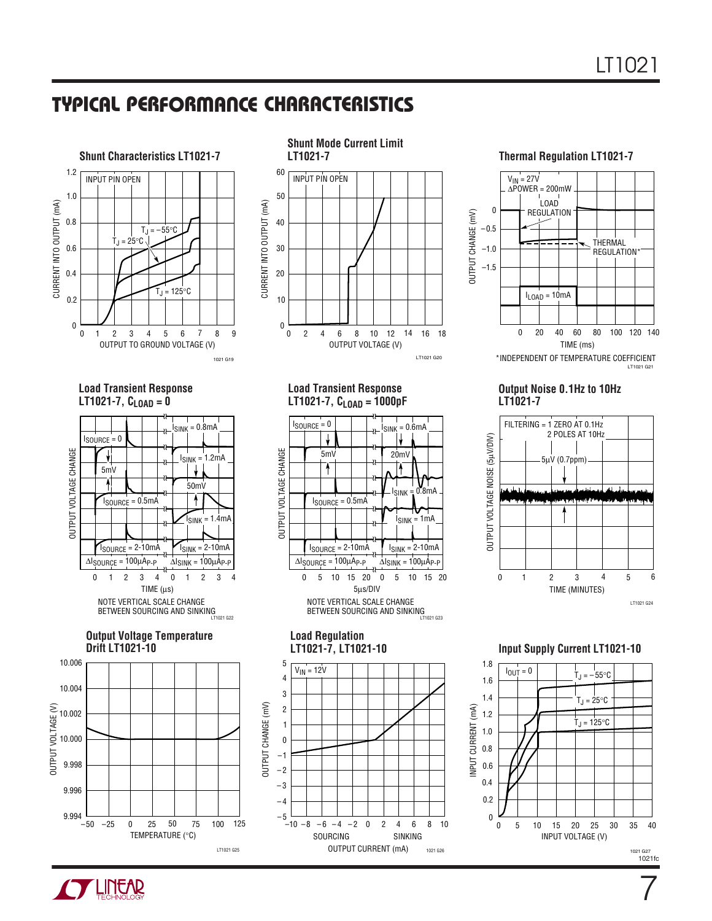



OUTPUT VOLTAGE CHANGE

**JUTPUT VOLTAGE CHANGE** 

**Load Transient Response LT1021-7,**  $C_{LOAD} = 0$ 



**Output Voltage Temperature Drift LT1021-10**





**LT1021-7, CLOAD = 1000pF**

 $I_{\text{SOURCE}} = 0$ 

 $\downarrow$ 

Ŧ

5mV 20mV

LT1021 G20

 $I<sub>SINK</sub> = 0.6mA$ 

IJ

┱

 $I<sub>SINK</sub> = 0.8mA$ 

 $I<sub>SINK</sub> = 1mA$ 

 $I<sub>SINK</sub> = 2-10mA$ 

LT1021 G23

**Shunt Mode Current Limit**

**LT1021-7 Thermal Regulation LT1021-7**



**Output Noise 0.1Hz to 10Hz LT1021-7**



**Load Regulation LT1021-7, LT1021-10** 5  $V_{IN} = 12V$ 4 3 OUTPUT CHANGE (mV) OUTPUT CHANGE (mV) 2 1 0 –1 – 2 – 3 – 4 – 5  $-10 - 8$ 6 –8 –6 –4 –2 0 2 4 6 8 10 SOURCING SINKING OUTPUT CURRENT (mA) 1021 G26

5µs/DIV

NOTE VERTICAL SCALE CHANGE BETWEEN SOURCING AND SINKING

 $\Delta I_{\text{SOURCE}} = 100 \mu A_{\text{P-P}}$   $\Delta I_{\text{SINK}} = 100 \mu A_{\text{P-P}}$ 

 $I_{\text{SOWRCE}} = 2 - 10 \text{mA}$ 

ISOURCE = 0.5mA

0 5 10 15 20 0 5 10 15 20

0.8 1.0 1.8 1.2 1.4 1.6  $\begin{array}{|c|c|c|c|c|}\n\hline\n1.6 & 0 & 0 & 0 \\
\hline\n\end{array}$  T<sub>J</sub> = –55°C  $T_J = 25^{\circ}C$  $T_J = 125$ °C  $I_{OUT} = 0$ 

INPUT CURRENT (mA)

INPUT CURRENT (mA)

0.2

0.4

**Input Supply Current LT1021-10**



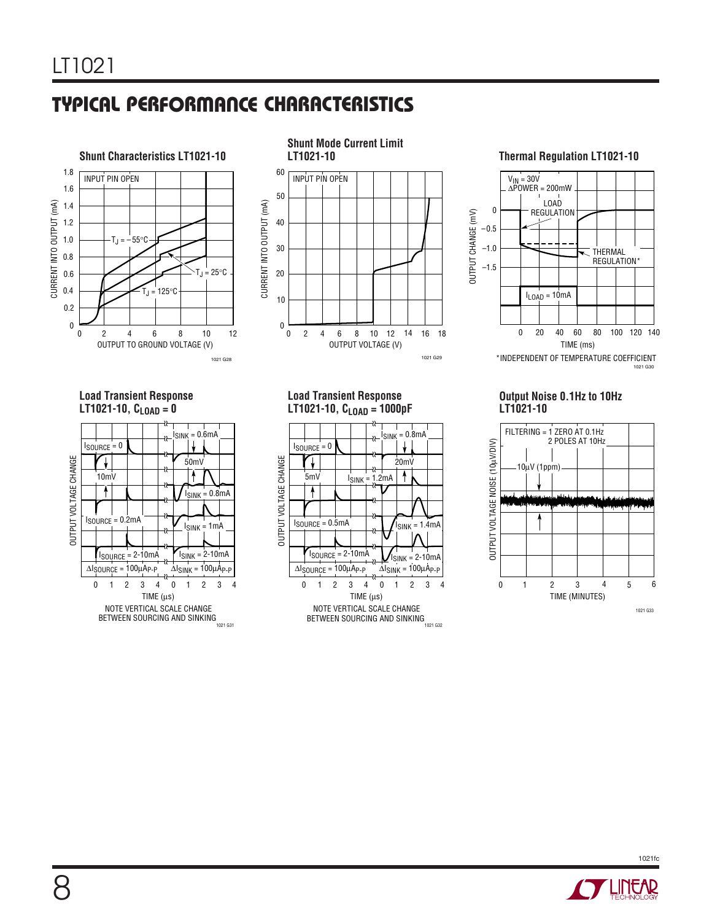



#### **LT1021-10 Thermal Regulation LT1021-10**



#### **Load Transient Response LT1021-10,**  $C_{LOAD} = 0$



**Load Transient Response LT1021-10, CLOAD = 1000pF**



#### **Output Noise 0.1Hz to 10Hz LT1021-10**



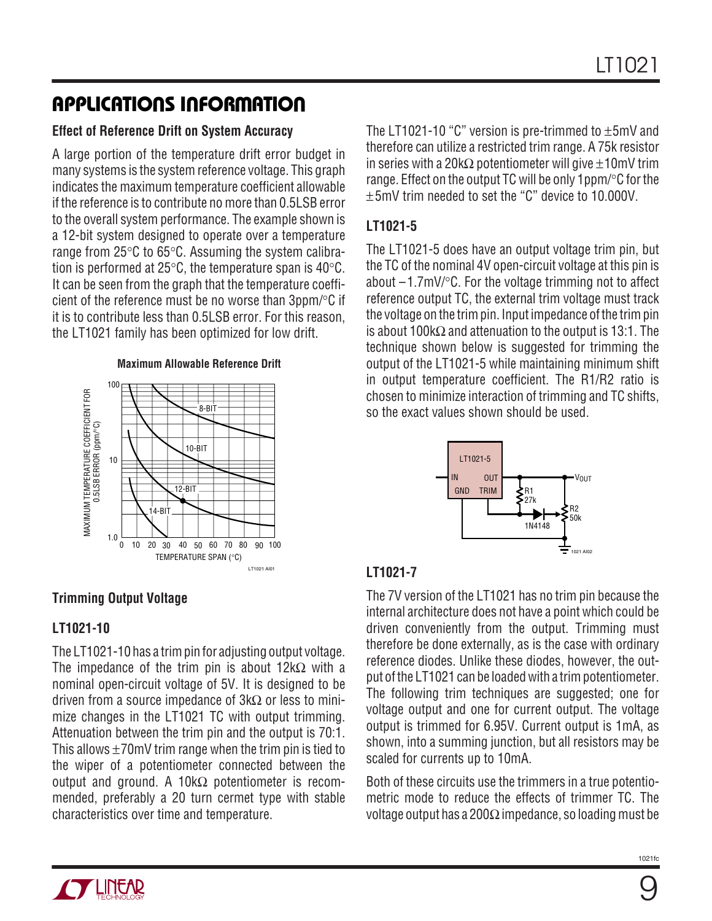# **APPLICATIONS INFORMATION U W U U**

### **Effect of Reference Drift on System Accuracy**

A large portion of the temperature drift error budget in many systems is the system reference voltage. This graph indicates the maximum temperature coefficient allowable if the reference is to contribute no more than 0.5LSB error to the overall system performance. The example shown is a 12-bit system designed to operate over a temperature range from 25°C to 65°C. Assuming the system calibration is performed at 25 $\degree$ C, the temperature span is 40 $\degree$ C. It can be seen from the graph that the temperature coefficient of the reference must be no worse than 3ppm/°C if it is to contribute less than 0.5LSB error. For this reason, the LT1021 family has been optimized for low drift.

#### **Maximum Allowable Reference Drift**



### **Trimming Output Voltage**

### **LT1021-10**

The LT1021-10 has a trim pin for adjusting output voltage. The impedance of the trim pin is about 12k $\Omega$  with a nominal open-circuit voltage of 5V. It is designed to be driven from a source impedance of  $3k\Omega$  or less to minimize changes in the LT1021 TC with output trimming. Attenuation between the trim pin and the output is 70:1. This allows  $\pm 70$ mV trim range when the trim pin is tied to the wiper of a potentiometer connected between the output and ground. A 10kΩ potentiometer is recommended, preferably a 20 turn cermet type with stable characteristics over time and temperature.

The LT1021-10 "C" version is pre-trimmed to  $\pm$ 5mV and therefore can utilize a restricted trim range. A 75k resistor in series with a 20k $\Omega$  potentiometer will give  $\pm 10$ mV trim range. Effect on the output TC will be only 1ppm/°C for the ±5mV trim needed to set the "C" device to 10.000V.

### **LT1021-5**

The LT1021-5 does have an output voltage trim pin, but the TC of the nominal 4V open-circuit voltage at this pin is about  $-1.7$ mV/ $\degree$ C. For the voltage trimming not to affect reference output TC, the external trim voltage must track the voltage on the trim pin. Input impedance of the trim pin is about 100kΩ and attenuation to the output is 13:1. The technique shown below is suggested for trimming the output of the LT1021-5 while maintaining minimum shift in output temperature coefficient. The R1/R2 ratio is chosen to minimize interaction of trimming and TC shifts, so the exact values shown should be used.



### **LT1021-7**

The 7V version of the LT1021 has no trim pin because the internal architecture does not have a point which could be driven conveniently from the output. Trimming must therefore be done externally, as is the case with ordinary reference diodes. Unlike these diodes, however, the output of the LT1021 can be loaded with a trim potentiometer. The following trim techniques are suggested; one for voltage output and one for current output. The voltage output is trimmed for 6.95V. Current output is 1mA, as shown, into a summing junction, but all resistors may be scaled for currents up to 10mA.

Both of these circuits use the trimmers in a true potentiometric mode to reduce the effects of trimmer TC. The voltage output has a 200Ω impedance, so loading must be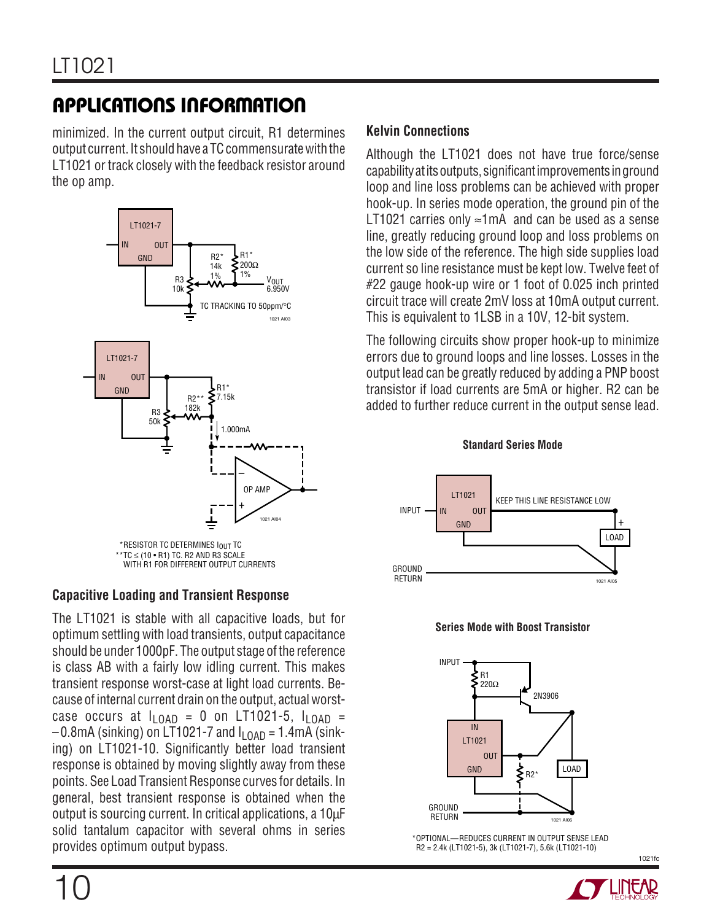# **APPLICATIONS INFORMATION U W U U**

minimized. In the current output circuit, R1 determines output current. It should have a TC commensurate with the LT1021 or track closely with the feedback resistor around the op amp.



### **Capacitive Loading and Transient Response**

The LT1021 is stable with all capacitive loads, but for optimum settling with load transients, output capacitance should be under 1000pF. The output stage of the reference is class AB with a fairly low idling current. This makes transient response worst-case at light load currents. Because of internal current drain on the output, actual worstcase occurs at  $I_{\text{I OAD}} = 0$  on LT1021-5,  $I_{\text{I OAD}} =$  $-0.8$ mA (sinking) on LT1021-7 and  $I_{\text{LOAD}} = 1.4$ mA (sinking) on LT1021-10. Significantly better load transient response is obtained by moving slightly away from these points. See Load Transient Response curves for details. In general, best transient response is obtained when the output is sourcing current. In critical applications, a 10µF solid tantalum capacitor with several ohms in series provides optimum output bypass.

Although the LT1021 does not have true force/sense capability at its outputs, significant improvements in ground loop and line loss problems can be achieved with proper hook-up. In series mode operation, the ground pin of the LT1021 carries only  $≈1mA$  and can be used as a sense line, greatly reducing ground loop and loss problems on the low side of the reference. The high side supplies load current so line resistance must be kept low. Twelve feet of #22 gauge hook-up wire or 1 foot of 0.025 inch printed circuit trace will create 2mV loss at 10mA output current. This is equivalent to 1LSB in a 10V, 12-bit system.

The following circuits show proper hook-up to minimize errors due to ground loops and line losses. Losses in the output lead can be greatly reduced by adding a PNP boost transistor if load currents are 5mA or higher. R2 can be added to further reduce current in the output sense lead.

**Standard Series Mode**







\*OPTIONAL—REDUCES CURRENT IN OUTPUT SENSE LEAD R2 = 2.4k (LT1021-5), 3k (LT1021-7), 5.6k (LT1021-10)

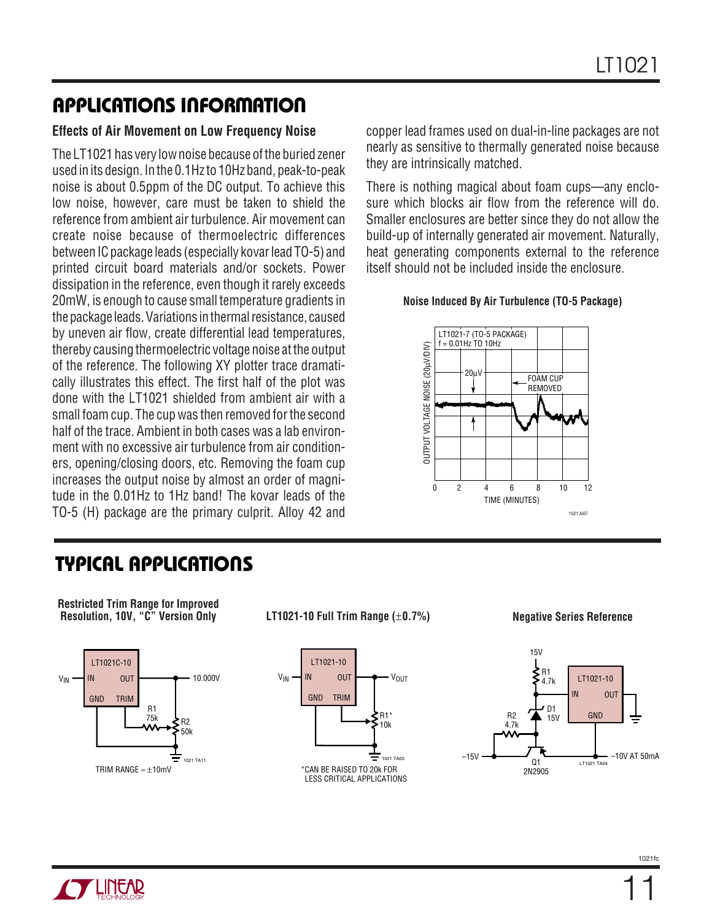# **APPLICATIONS INFORMATION U W U U**

#### **Effects of Air Movement on Low Frequency Noise**

The LT1021 has very low noise because of the buried zener used in its design. In the 0.1Hz to 10Hz band, peak-to-peak noise is about 0.5ppm of the DC output. To achieve this low noise, however, care must be taken to shield the reference from ambient air turbulence. Air movement can create noise because of thermoelectric differences between IC package leads (especially kovar lead TO-5) and printed circuit board materials and/or sockets. Power dissipation in the reference, even though it rarely exceeds 20mW, is enough to cause small temperature gradients in the package leads. Variations in thermal resistance, caused by uneven air flow, create differential lead temperatures, thereby causing thermoelectric voltage noise at the output of the reference. The following XY plotter trace dramatically illustrates this effect. The first half of the plot was done with the LT1021 shielded from ambient air with a small foam cup. The cup was then removed for the second half of the trace. Ambient in both cases was a lab environment with no excessive air turbulence from air conditioners, opening/closing doors, etc. Removing the foam cup increases the output noise by almost an order of magnitude in the 0.01Hz to 1Hz band! The kovar leads of the TO-5 (H) package are the primary culprit. Alloy 42 and

copper lead frames used on dual-in-line packages are not nearly as sensitive to thermally generated noise because they are intrinsically matched.

There is nothing magical about foam cups—any enclosure which blocks air flow from the reference will do. Smaller enclosures are better since they do not allow the build-up of internally generated air movement. Naturally, heat generating components external to the reference itself should not be included inside the enclosure.

#### **Noise Induced By Air Turbulence (TO-5 Package)**



## **TYPICAL APPLICATIONS U**



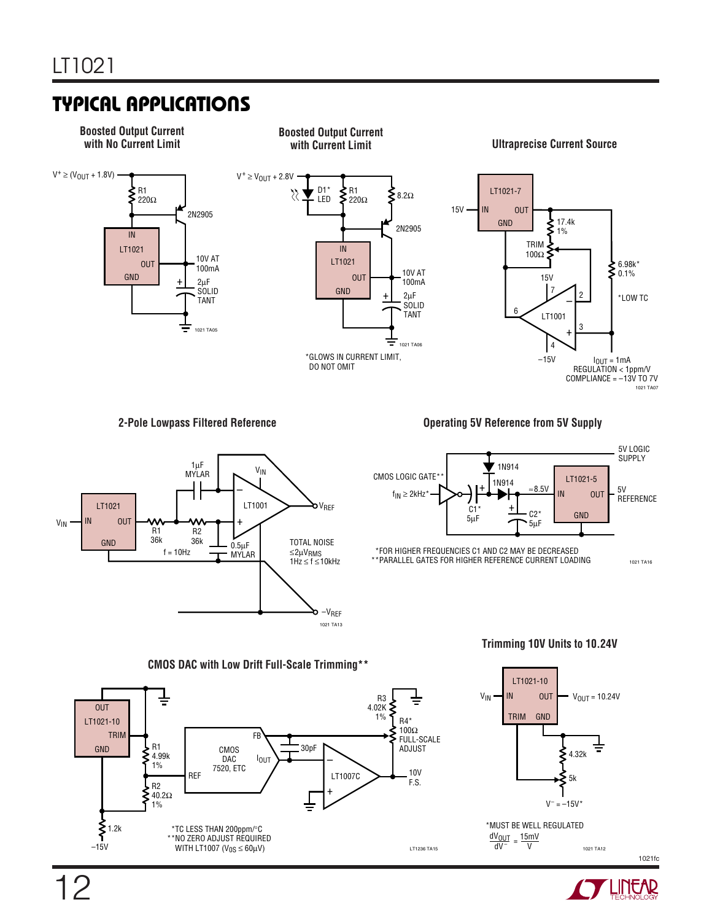# **TYPICAL APPLICATIONS U**





**2-Pole Lowpass Filtered Reference** *Compared Exercise 3V Reference from 5V Supply* 



**Trimming 10V Units to 10.24V**



### LT1021-10  $V_{IN}$  IN OUT  $V_{OUT} = 10.24V$ IN OUT TRIM GND ξ 4.32k 5k  $V^- = -15V^*$ \*MUST BE WELL REGULATED

 $\frac{dV_{OUT}}{dV^-} = \frac{15mV}{V}$  $V = 1021 \text{ T} \text{A}12$ 

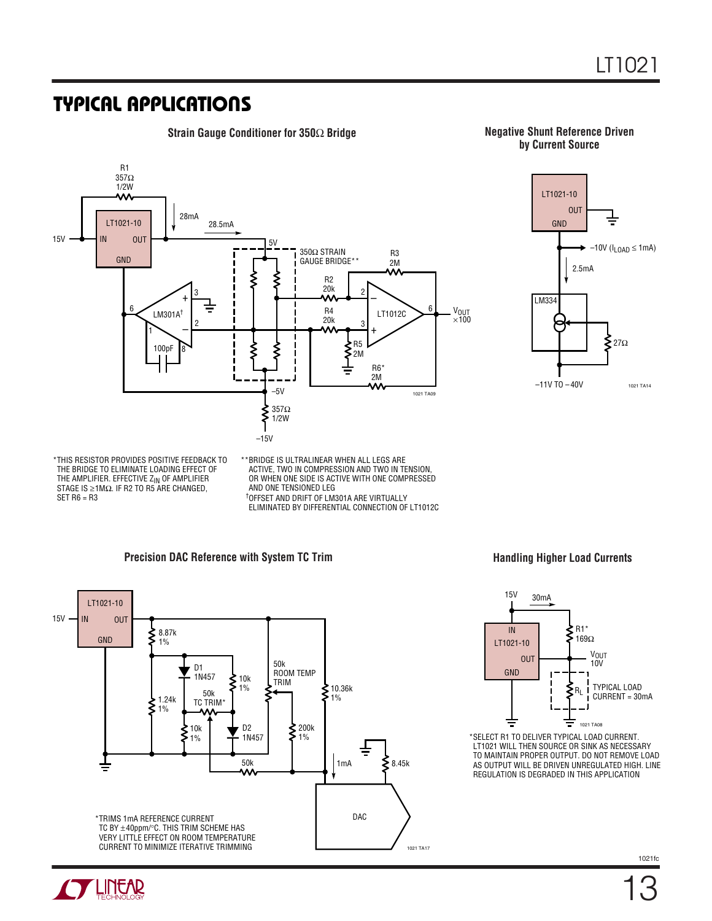### **TYPICAL APPLICATIONS U**



**Strain Gauge Conditioner for 350**Ω **Bridge Negative Shunt Reference Driven by Current Source**



THIS RESISTOR PROVIDES POSITIVE FEEDBACK TO \* BRIDGE IS ULTRALINEAR WHEN ALL LEGS ARE THE BRIDGE TO ELIMINATE LOADING EFFECT OF THE AMPLIFIER. EFFECTIVE ZIN OF AMPLIFIER STAGE IS  $\geq 1$ MΩ. IF R2 TO R5 ARE CHANGED,  $SET R6 = R3$ 

ACTIVE, TWO IN COMPRESSION AND TWO IN TENSION, OR WHEN ONE SIDE IS ACTIVE WITH ONE COMPRESSED AND ONE TENSIONED LEG OFFSET AND DRIFT OF LM301A ARE VIRTUALLY † ELIMINATED BY DIFFERENTIAL CONNECTION OF LT1012C \*\* BRIDGE IS ULTRALINEAR WHEN ALL LEGS ARE

#### **Precision DAC Reference with System TC Trim**



**Handling Higher Load Currents**



SELECT R1 TO DELIVER TYPICAL LOAD CURRENT. \* LT1021 WILL THEN SOURCE OR SINK AS NECESSARY TO MAINTAIN PROPER OUTPUT. DO NOT REMOVE LOAD AS OUTPUT WILL BE DRIVEN UNREGULATED HIGH. LINE REGULATION IS DEGRADED IN THIS APPLICATION

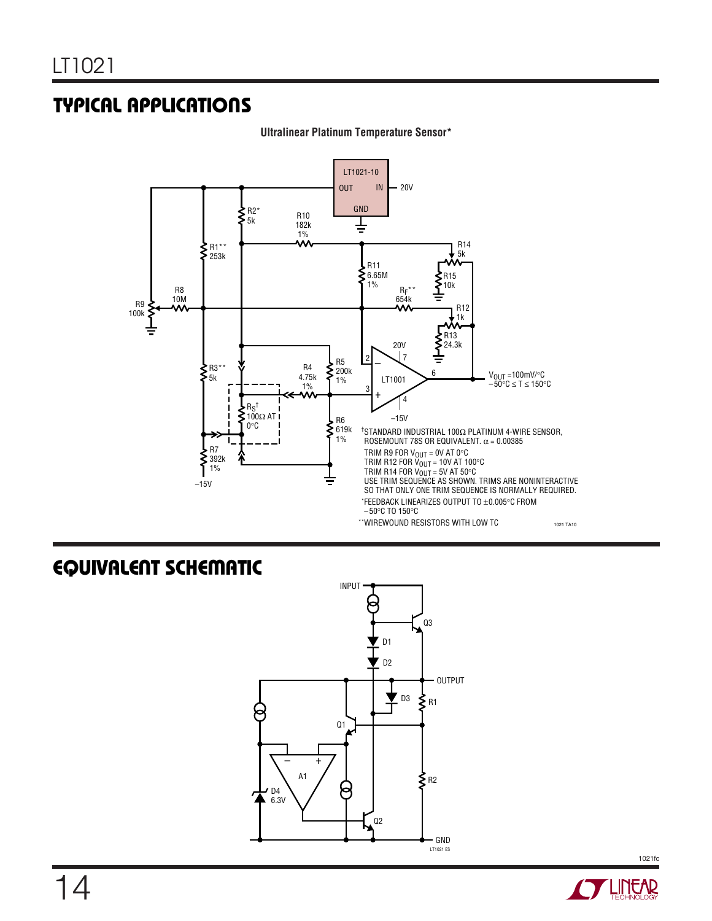## **TYPICAL APPLICATIONS U**



**Ultralinear Platinum Temperature Sensor\***

## **EQUIVALENT SCHEMATIC**



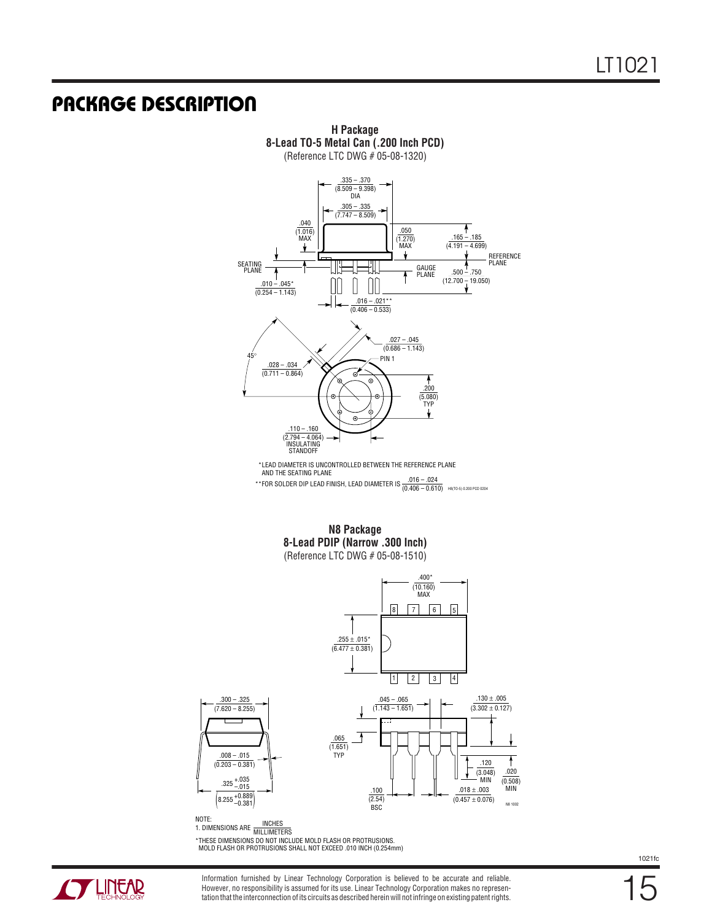### **PACKAGE DESCRIPTION U**



NOTE: NOTE:<br>1. DIMENSIONS ARE MILLIMETERS \*THESE DIMENSIONS DO NOT INCLUDE MOLD FLASH OR PROTRUSIONS. MOLD FLASH OR PROTRUSIONS SHALL NOT EXCEED .010 INCH (0.254mm)



Information furnished by Linear Technology Corporation is believed to be accurate and reliable. However, no responsibility is assumed for its use. Linear Technology Corporation makes no representation that the interconnection of its circuits as described herein will not infringe on existing patent rights. 15